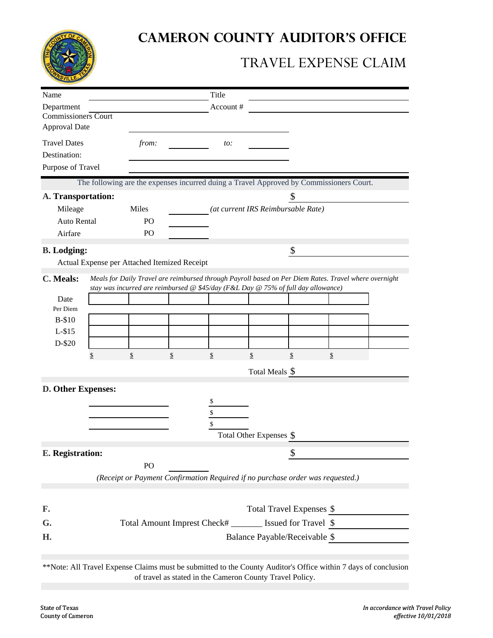

## **CAMERON COUNTY AUDITOR'S OFFICE**

## TRAVEL EXPENSE CLAIM

| Name                                        |    |                                              |    | Title                                                    |                                                                                   |    |                                                                                                       |  |  |  |
|---------------------------------------------|----|----------------------------------------------|----|----------------------------------------------------------|-----------------------------------------------------------------------------------|----|-------------------------------------------------------------------------------------------------------|--|--|--|
| Department                                  |    |                                              |    | Account#                                                 |                                                                                   |    |                                                                                                       |  |  |  |
| Commissioners Court<br><b>Approval Date</b> |    |                                              |    |                                                          |                                                                                   |    |                                                                                                       |  |  |  |
| <b>Travel Dates</b>                         |    | from:                                        |    | to:                                                      |                                                                                   |    |                                                                                                       |  |  |  |
| Destination:                                |    |                                              |    |                                                          |                                                                                   |    |                                                                                                       |  |  |  |
| Purpose of Travel                           |    |                                              |    |                                                          |                                                                                   |    |                                                                                                       |  |  |  |
|                                             |    |                                              |    |                                                          |                                                                                   |    | The following are the expenses incurred duing a Travel Approved by Commissioners Court.               |  |  |  |
| A. Transportation:                          |    |                                              |    |                                                          |                                                                                   | \$ |                                                                                                       |  |  |  |
| Mileage                                     |    | Miles                                        |    |                                                          | (at current IRS Reimbursable Rate)                                                |    |                                                                                                       |  |  |  |
| <b>Auto Rental</b>                          |    | PO                                           |    |                                                          |                                                                                   |    |                                                                                                       |  |  |  |
| Airfare                                     |    | P <sub>O</sub>                               |    |                                                          |                                                                                   |    |                                                                                                       |  |  |  |
| <b>B.</b> Lodging:                          |    |                                              |    |                                                          |                                                                                   | \$ |                                                                                                       |  |  |  |
|                                             |    | Actual Expense per Attached Itemized Receipt |    |                                                          |                                                                                   |    |                                                                                                       |  |  |  |
| C. Meals:                                   |    |                                              |    |                                                          |                                                                                   |    | Meals for Daily Travel are reimbursed through Payroll based on Per Diem Rates. Travel where overnight |  |  |  |
|                                             |    |                                              |    |                                                          | stay was incurred are reimbursed @ \$45/day (F&L Day @ 75% of full day allowance) |    |                                                                                                       |  |  |  |
| Date                                        |    |                                              |    |                                                          |                                                                                   |    |                                                                                                       |  |  |  |
| Per Diem                                    |    |                                              |    |                                                          |                                                                                   |    |                                                                                                       |  |  |  |
| <b>B-\$10</b>                               |    |                                              |    |                                                          |                                                                                   |    |                                                                                                       |  |  |  |
| $L-$ \$15                                   |    |                                              |    |                                                          |                                                                                   |    |                                                                                                       |  |  |  |
| D-\$20                                      |    |                                              |    |                                                          |                                                                                   |    |                                                                                                       |  |  |  |
|                                             | \$ | \$                                           | \$ | \$                                                       | \$                                                                                | \$ | \$                                                                                                    |  |  |  |
|                                             |    |                                              |    |                                                          | Total Meals \$                                                                    |    |                                                                                                       |  |  |  |
| D. Other Expenses:                          |    |                                              |    |                                                          |                                                                                   |    |                                                                                                       |  |  |  |
|                                             |    |                                              |    | S                                                        |                                                                                   |    |                                                                                                       |  |  |  |
|                                             |    |                                              |    | \$                                                       |                                                                                   |    |                                                                                                       |  |  |  |
|                                             |    |                                              |    | \$                                                       |                                                                                   |    |                                                                                                       |  |  |  |
|                                             |    |                                              |    |                                                          | Total Other Expenses \$                                                           |    |                                                                                                       |  |  |  |
| E. Registration:                            |    |                                              |    |                                                          |                                                                                   | \$ |                                                                                                       |  |  |  |
| PO                                          |    |                                              |    |                                                          |                                                                                   |    |                                                                                                       |  |  |  |
|                                             |    |                                              |    |                                                          |                                                                                   |    | (Receipt or Payment Confirmation Required if no purchase order was requested.)                        |  |  |  |
|                                             |    |                                              |    |                                                          |                                                                                   |    |                                                                                                       |  |  |  |
|                                             |    | Total Travel Expenses \$                     |    |                                                          |                                                                                   |    |                                                                                                       |  |  |  |
|                                             |    |                                              |    | Total Amount Imprest Check# _______ Issued for Travel \$ |                                                                                   |    |                                                                                                       |  |  |  |
|                                             |    |                                              |    |                                                          |                                                                                   |    |                                                                                                       |  |  |  |
| F.<br>G.<br>Н.                              |    |                                              |    |                                                          | Balance Payable/Receivable \$                                                     |    |                                                                                                       |  |  |  |

of travel as stated in the Cameron County Travel Policy.